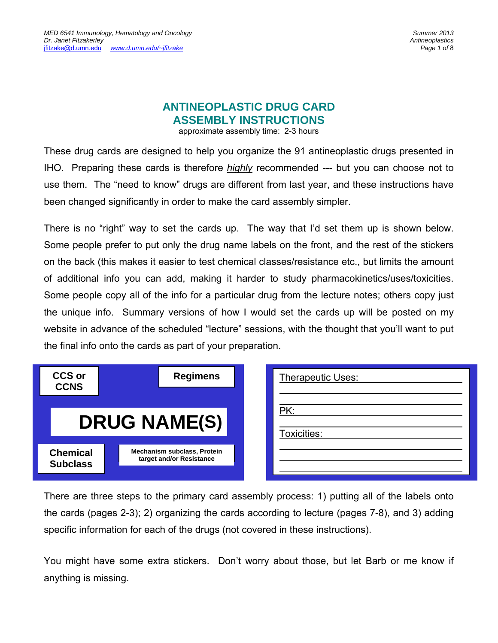# **ANTINEOPLASTIC DRUG CARD ASSEMBLY INSTRUCTIONS**

approximate assembly time: 2-3 hours

These drug cards are designed to help you organize the 91 antineoplastic drugs presented in IHO. Preparing these cards is therefore *highly* recommended --- but you can choose not to use them. The "need to know" drugs are different from last year, and these instructions have been changed significantly in order to make the card assembly simpler.

There is no "right" way to set the cards up. The way that I'd set them up is shown below. Some people prefer to put only the drug name labels on the front, and the rest of the stickers on the back (this makes it easier to test chemical classes/resistance etc., but limits the amount of additional info you can add, making it harder to study pharmacokinetics/uses/toxicities. Some people copy all of the info for a particular drug from the lecture notes; others copy just the unique info. Summary versions of how I would set the cards up will be posted on my website in advance of the scheduled "lecture" sessions, with the thought that you'll want to put the final info onto the cards as part of your preparation.

| <b>CCS or</b><br><b>CCNS</b>       | <b>Regimens</b>                                                | <b>Therapeutic Uses:</b> |
|------------------------------------|----------------------------------------------------------------|--------------------------|
|                                    | <b>DRUG NAME(S)</b>                                            | PK:<br>Toxicities:       |
| <b>Chemical</b><br><b>Subclass</b> | <b>Mechanism subclass, Protein</b><br>target and/or Resistance |                          |

There are three steps to the primary card assembly process: 1) putting all of the labels onto the cards (pages 2-3); 2) organizing the cards according to lecture (pages 7-8), and 3) adding specific information for each of the drugs (not covered in these instructions).

You might have some extra stickers. Don't worry about those, but let Barb or me know if anything is missing.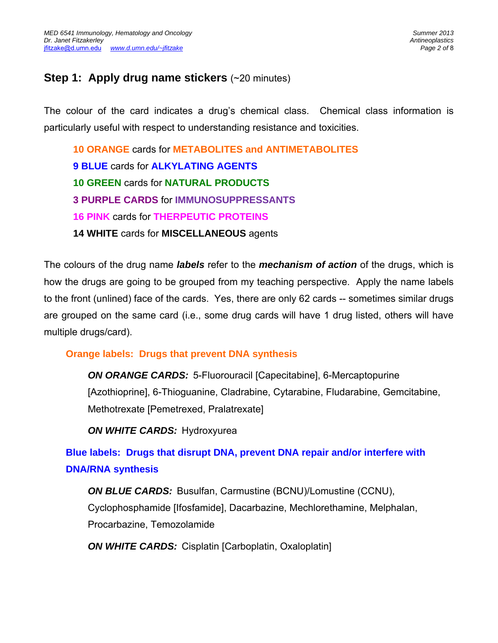## **Step 1: Apply drug name stickers (~20 minutes)**

The colour of the card indicates a drug's chemical class. Chemical class information is particularly useful with respect to understanding resistance and toxicities.

**10 ORANGE** cards for **METABOLITES and ANTIMETABOLITES 9 BLUE** cards for **ALKYLATING AGENTS 10 GREEN** cards for **NATURAL PRODUCTS 3 PURPLE CARDS** for **IMMUNOSUPPRESSANTS 16 PINK** cards for **THERPEUTIC PROTEINS 14 WHITE** cards for **MISCELLANEOUS** agents

The colours of the drug name *labels* refer to the *mechanism of action* of the drugs, which is how the drugs are going to be grouped from my teaching perspective. Apply the name labels to the front (unlined) face of the cards. Yes, there are only 62 cards -- sometimes similar drugs are grouped on the same card (i.e., some drug cards will have 1 drug listed, others will have multiple drugs/card).

### **Orange labels: Drugs that prevent DNA synthesis**

*ON ORANGE CARDS:*5-Fluorouracil [Capecitabine], 6-Mercaptopurine [Azothioprine], 6-Thioguanine, Cladrabine, Cytarabine, Fludarabine, Gemcitabine, Methotrexate [Pemetrexed, Pralatrexate]

*ON WHITE CARDS:* Hydroxyurea

**Blue labels: Drugs that disrupt DNA, prevent DNA repair and/or interfere with DNA/RNA synthesis** 

*ON BLUE CARDS:* Busulfan, Carmustine (BCNU)/Lomustine (CCNU), Cyclophosphamide [Ifosfamide], Dacarbazine, Mechlorethamine, Melphalan, Procarbazine, Temozolamide

*ON WHITE CARDS:* Cisplatin [Carboplatin, Oxaloplatin]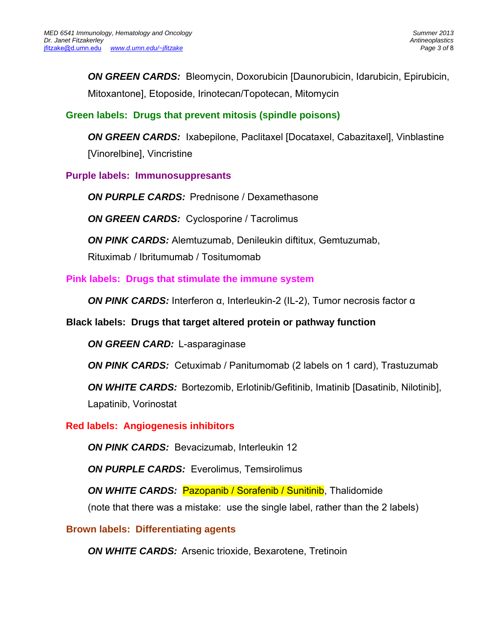*ON GREEN CARDS:* Bleomycin, Doxorubicin [Daunorubicin, Idarubicin, Epirubicin, Mitoxantone], Etoposide, Irinotecan/Topotecan, Mitomycin

### **Green labels: Drugs that prevent mitosis (spindle poisons)**

**ON GREEN CARDS:** Ixabepilone, Paclitaxel [Docataxel, Cabazitaxel], Vinblastine [Vinorelbine], Vincristine

**Purple labels: Immunosuppresants** 

*ON PURPLE CARDS:* Prednisone / Dexamethasone

*ON GREEN CARDS:* Cyclosporine / Tacrolimus

**ON PINK CARDS:** Alemtuzumab, Denileukin diftitux, Gemtuzumab,

Rituximab / Ibritumumab / Tositumomab

#### **Pink labels: Drugs that stimulate the immune system**

*ON PINK CARDS:* Interferon α, Interleukin-2 (IL-2), Tumor necrosis factor α

#### **Black labels: Drugs that target altered protein or pathway function**

*ON GREEN CARD:* L-asparaginase

**ON PINK CARDS:** Cetuximab / Panitumomab (2 labels on 1 card), Trastuzumab

*ON WHITE CARDS:*Bortezomib, Erlotinib/Gefitinib, Imatinib [Dasatinib, Nilotinib], Lapatinib, Vorinostat

#### **Red labels: Angiogenesis inhibitors**

*ON PINK CARDS:* Bevacizumab, Interleukin 12

**ON PURPLE CARDS:** Everolimus, Temsirolimus

**ON WHITE CARDS: Pazopanib / Sorafenib / Sunitinib, Thalidomide** (note that there was a mistake: use the single label, rather than the 2 labels)

**Brown labels: Differentiating agents** 

*ON WHITE CARDS:* Arsenic trioxide, Bexarotene, Tretinoin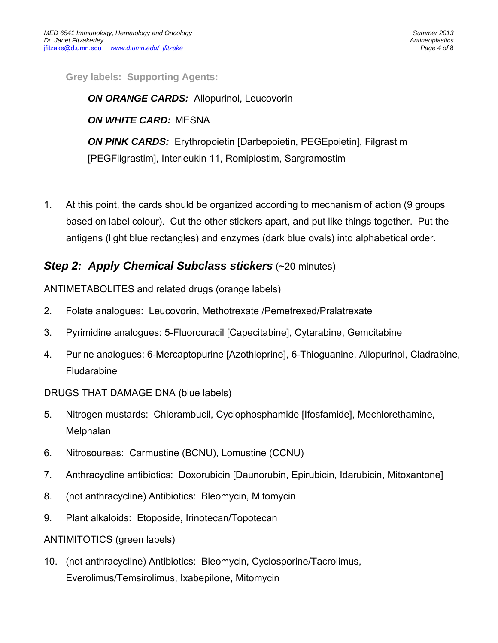**Grey labels: Supporting Agents:** 

*ON ORANGE CARDS:* Allopurinol, Leucovorin *ON WHITE CARD:*MESNA *ON PINK CARDS:* Erythropoietin [Darbepoietin, PEGEpoietin], Filgrastim [PEGFilgrastim], Interleukin 11, Romiplostim, Sargramostim

1. At this point, the cards should be organized according to mechanism of action (9 groups based on label colour). Cut the other stickers apart, and put like things together. Put the antigens (light blue rectangles) and enzymes (dark blue ovals) into alphabetical order.

## *Step 2: Apply Chemical Subclass stickers* (~20 minutes)

ANTIMETABOLITES and related drugs (orange labels)

- 2. Folate analogues: Leucovorin, Methotrexate /Pemetrexed/Pralatrexate
- 3. Pyrimidine analogues: 5-Fluorouracil [Capecitabine], Cytarabine, Gemcitabine
- 4. Purine analogues: 6-Mercaptopurine [Azothioprine], 6-Thioguanine, Allopurinol, Cladrabine, Fludarabine
- DRUGS THAT DAMAGE DNA (blue labels)
- 5. Nitrogen mustards: Chlorambucil, Cyclophosphamide [Ifosfamide], Mechlorethamine, Melphalan
- 6. Nitrosoureas: Carmustine (BCNU), Lomustine (CCNU)
- 7. Anthracycline antibiotics: Doxorubicin [Daunorubin, Epirubicin, Idarubicin, Mitoxantone]
- 8. (not anthracycline) Antibiotics: Bleomycin, Mitomycin
- 9. Plant alkaloids: Etoposide, Irinotecan/Topotecan

ANTIMITOTICS (green labels)

10. (not anthracycline) Antibiotics: Bleomycin, Cyclosporine/Tacrolimus, Everolimus/Temsirolimus, Ixabepilone, Mitomycin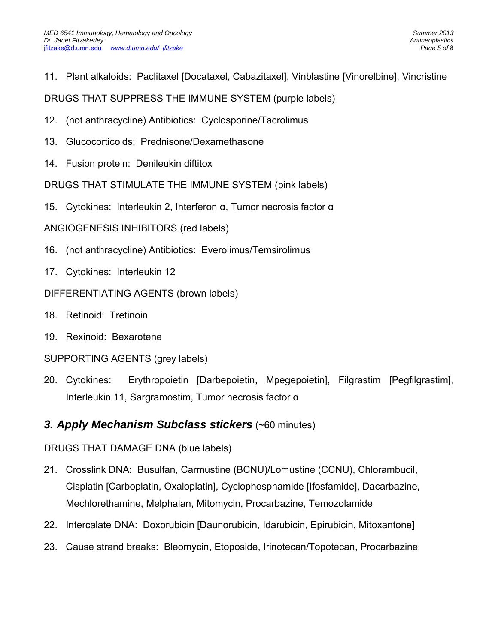11. Plant alkaloids: Paclitaxel [Docataxel, Cabazitaxel], Vinblastine [Vinorelbine], Vincristine

DRUGS THAT SUPPRESS THE IMMUNE SYSTEM (purple labels)

- 12. (not anthracycline) Antibiotics: Cyclosporine/Tacrolimus
- 13. Glucocorticoids: Prednisone/Dexamethasone
- 14. Fusion protein: Denileukin diftitox

DRUGS THAT STIMULATE THE IMMUNE SYSTEM (pink labels)

15. Cytokines: Interleukin 2, Interferon α, Tumor necrosis factor α

ANGIOGENESIS INHIBITORS (red labels)

- 16. (not anthracycline) Antibiotics: Everolimus/Temsirolimus
- 17. Cytokines: Interleukin 12

DIFFERENTIATING AGENTS (brown labels)

- 18. Retinoid: Tretinoin
- 19. Rexinoid: Bexarotene

SUPPORTING AGENTS (grey labels)

20. Cytokines: Erythropoietin [Darbepoietin, Mpegepoietin], Filgrastim [Pegfilgrastim], Interleukin 11, Sargramostim, Tumor necrosis factor α

## *3. Apply Mechanism Subclass stickers* (~60 minutes)

DRUGS THAT DAMAGE DNA (blue labels)

- 21. Crosslink DNA: Busulfan, Carmustine (BCNU)/Lomustine (CCNU), Chlorambucil, Cisplatin [Carboplatin, Oxaloplatin], Cyclophosphamide [Ifosfamide], Dacarbazine, Mechlorethamine, Melphalan, Mitomycin, Procarbazine, Temozolamide
- 22. Intercalate DNA: Doxorubicin [Daunorubicin, Idarubicin, Epirubicin, Mitoxantone]
- 23. Cause strand breaks: Bleomycin, Etoposide, Irinotecan/Topotecan, Procarbazine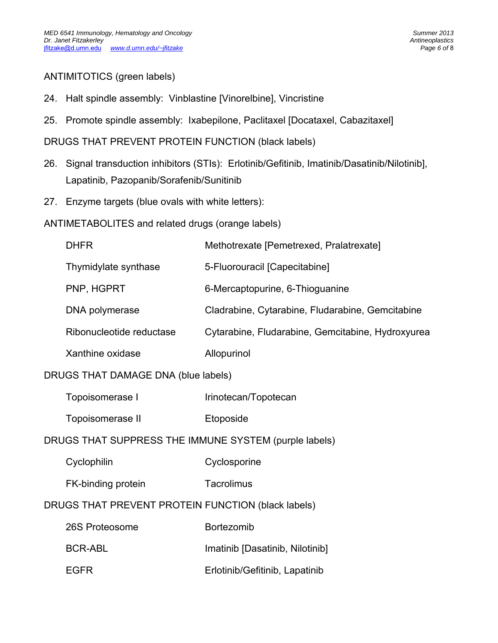### ANTIMITOTICS (green labels)

- 24. Halt spindle assembly: Vinblastine [Vinorelbine], Vincristine
- 25. Promote spindle assembly: Ixabepilone, Paclitaxel [Docataxel, Cabazitaxel]

DRUGS THAT PREVENT PROTEIN FUNCTION (black labels)

- 26. Signal transduction inhibitors (STIs): Erlotinib/Gefitinib, Imatinib/Dasatinib/Nilotinib], Lapatinib, Pazopanib/Sorafenib/Sunitinib
- 27. Enzyme targets (blue ovals with white letters):
- ANTIMETABOLITES and related drugs (orange labels)

|                                                       | <b>DHFR</b>              | Methotrexate [Pemetrexed, Pralatrexate]           |  |  |
|-------------------------------------------------------|--------------------------|---------------------------------------------------|--|--|
|                                                       | Thymidylate synthase     | 5-Fluorouracil [Capecitabine]                     |  |  |
|                                                       | PNP, HGPRT               | 6-Mercaptopurine, 6-Thioguanine                   |  |  |
|                                                       | DNA polymerase           | Cladrabine, Cytarabine, Fludarabine, Gemcitabine  |  |  |
|                                                       | Ribonucleotide reductase | Cytarabine, Fludarabine, Gemcitabine, Hydroxyurea |  |  |
|                                                       | Xanthine oxidase         | Allopurinol                                       |  |  |
| DRUGS THAT DAMAGE DNA (blue labels)                   |                          |                                                   |  |  |
|                                                       | Topoisomerase I          | Irinotecan/Topotecan                              |  |  |
|                                                       | Topoisomerase II         | Etoposide                                         |  |  |
| DRUGS THAT SUPPRESS THE IMMUNE SYSTEM (purple labels) |                          |                                                   |  |  |
|                                                       | Cyclophilin              | Cyclosporine                                      |  |  |
|                                                       | FK-binding protein       | Tacrolimus                                        |  |  |

## DRUGS THAT PREVENT PROTEIN FUNCTION (black labels)

| 26S Proteosome | <b>Bortezomib</b>               |
|----------------|---------------------------------|
| BCR-ABL        | Imatinib [Dasatinib, Nilotinib] |
| <b>FGFR</b>    | Erlotinib/Gefitinib, Lapatinib  |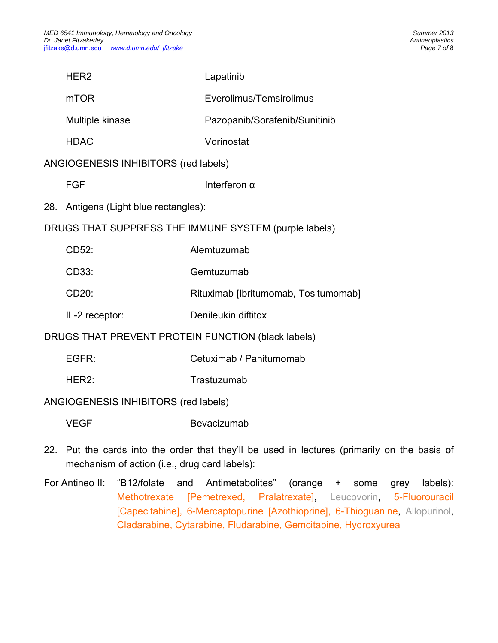|                                                       | HER <sub>2</sub>                      | Lapatinib                                                                                    |  |  |
|-------------------------------------------------------|---------------------------------------|----------------------------------------------------------------------------------------------|--|--|
|                                                       | <b>mTOR</b>                           | Everolimus/Temsirolimus                                                                      |  |  |
|                                                       | Multiple kinase                       | Pazopanib/Sorafenib/Sunitinib                                                                |  |  |
|                                                       | <b>HDAC</b>                           | Vorinostat                                                                                   |  |  |
| ANGIOGENESIS INHIBITORS (red labels)                  |                                       |                                                                                              |  |  |
|                                                       | <b>FGF</b>                            | Interferon $\alpha$                                                                          |  |  |
|                                                       | 28. Antigens (Light blue rectangles): |                                                                                              |  |  |
| DRUGS THAT SUPPRESS THE IMMUNE SYSTEM (purple labels) |                                       |                                                                                              |  |  |
|                                                       | CD52:                                 | Alemtuzumab                                                                                  |  |  |
|                                                       | CD33:                                 | Gemtuzumab                                                                                   |  |  |
|                                                       | CD20:                                 | Rituximab [Ibritumomab, Tositumomab]                                                         |  |  |
|                                                       | IL-2 receptor:                        | Denileukin diftitox                                                                          |  |  |
| DRUGS THAT PREVENT PROTEIN FUNCTION (black labels)    |                                       |                                                                                              |  |  |
|                                                       | EGFR:                                 | Cetuximab / Panitumomab                                                                      |  |  |
|                                                       | HER2:                                 | Trastuzumab                                                                                  |  |  |
| ANGIOGENESIS INHIBITORS (red labels)                  |                                       |                                                                                              |  |  |
|                                                       | <b>VEGF</b>                           | Bevacizumab                                                                                  |  |  |
|                                                       |                                       | 22. Put the cards into the order that they'll be used in lectures (primarily on the basis of |  |  |

mechanism of action (i.e., drug card labels):

For Antineo II: "B12/folate and Antimetabolites" (orange + some grey labels): Methotrexate [Pemetrexed, Pralatrexate], Leucovorin, 5-Fluorouracil [Capecitabine], 6-Mercaptopurine [Azothioprine], 6-Thioguanine, Allopurinol, Cladarabine, Cytarabine, Fludarabine, Gemcitabine, Hydroxyurea